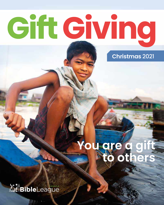# Cift Giving

**Christmas** 2021

### **You are a gift to others**

*Rul BibleLeague*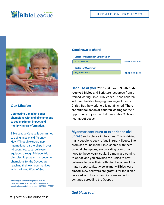### **NIE Bible**League

#### UPDATE ON PROJECTS



#### **Our Mission**

**Connecting Canadian donor champions with global champions to see maximum impact and multiplying transformation.**

Bible League Canada is committed to doing missions differently. How? Through extraordinary international partnerships in over 40 countries. Local believers, equipped through Bible-centric discipleship programs to become champions for the Gospel, are reaching their own communities with the Living Word of God.

Bible League Canada is registered with the Canada Revenue Agency (CRA) as a charitable organization,registration number 10822-2084-RR0001

#### **Good news to share!**



**Because of you, 7,130 children in South Sudan received Bibles** and Scripture resources from a trained, caring Bible Club leader. These children will hear the life-changing message of Jesus Christ! But the work here is not finished. **There are still thousands of children waiting** for their opportunity to join the Children's Bible Club, and hear about Jesus!

#### **Myanmar continues to experience civil**

**unrest** and violence in the cities. This is driving many people to seek refuge in rural villages. The promises found in the Bible, shared with them by local champions, are providing comfort and hope to these weary souls. So many are coming to Christ, and you provided the Bibles to new believers to grow their faith! And because of the match opportunity, **twice as many Bibles were placed!** New believers are grateful for the Bibles received, and local champions are eager to continue spreading the Gospel.

#### *God bless you!*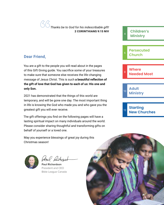**"***Thanks be to God for his indescribable gift!* 

### **Dear Friend,**

You are a gift to the people you will read about in the pages of this Gift Giving guide. You sacrifice some of your treasures to make sure that someone else receives the life-changing message of Jesus Christ. This is such **a beautiful reflection of the gift of love that God has given to each of us: His one and only Son.**

2021 has demonstrated that the things of this world are temporary, and will be gone one day. The most important thing in life is knowing the God who made you and who gave you the greatest gift you will ever receive.

The gift offerings you find on the following pages will have a lasting spiritual impact on many individuals around the world. Please consider sharing thoughtful and transforming gifts on behalf of yourself or a loved one.

May you experience blessings of great joy during this Christmas season!



Arce Linhar

**Paul Richardson** President and CEO Bible League Canada



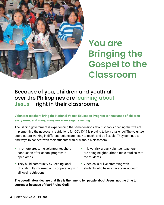

### **You are Bringing the Gospel to the Classroom**

### Because of you, children and youth all over the Philippines are learning about Jesus – right in their classrooms.

**Volunteer teachers bring the National Values Education Program to thousands of children every week, and many, many more are eagerly waiting.** 

The Filipino government is experiencing the same tensions about schools opening that we are. Implementing the necessary restrictions for COVID-19 is proving to be a challenge! The volunteer coordinators working in different regions are ready to teach, and be flexible. They continue to find ways to connect with their students with or without a classroom:

- In remote areas, the volunteer teachers conduct an after-school program in open areas.
- They build community by keeping local officials fully informed and cooperating with all local restrictions.
- In lower risk areas, volunteer teachers are doing neighbourhood Bible studies with the students.
- Video calls or live streaming with students who have a Facebook account.

**The coordinators declare that this is the time to tell people about Jesus, not the time to surrender because of fear! Praise God!**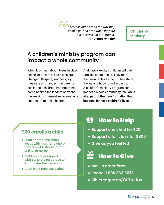**"***Start children off on the way they should go, and even when they are old they will not turn from it.* **PROVERBS 22:6 NIV**

**Children's Ministry**

### A children's ministry program can impact a whole community

When kids hear about Jesus in class online, or at camp. Their lives are changed. Respect, kindness, joy… these are all changes that parents see in their children. Parents often come back to the leaders or attend the sessions themselves to see "what happened" to their children!

And happy, excited children tell their families about Jesus. They read their new Bibles to them. They share the joy and hope found in Jesus. A children's ministry program can impact a whole community. **You are a vital part of the transformation that happens in these children's lives!** 

### **\$20 enrolls a child**

- local champions share Jesus with kids right where they are: classroom, camp, online, at home.
- children are equipped with Scripture resources to emphasize their lessons.
- **each child receives a Bible.**

#### S How to Help

- **Support one child for \$20**
- **Support a full class for \$800**
- **Give as you feel led**



- **Mail in order form**
- **Phone: 1.800.363.9673**
- **[BibleLeague.ca/GiftofJoy](Http://bibleleague.ca/giftofjoy)**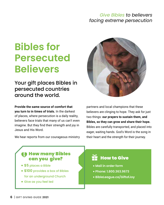### *Give Bibles to believers facing extreme persecution*

### **Bibles for Persecuted Believers**

Your gift places Bibles in persecuted countries around the world.

**Provide the same source of comfort that you turn to in times of trials.** In the darkest of places, where persecution is a daily reality, believers face trials that many of us can't even imagine. But they find their strength and joy in Jesus and His Word.

We hear reports from our courageous ministry



partners and local champions that these believers are clinging to hope. They ask for just two things: **our prayers to sustain them, and Bibles, so they can grow and share their hope.** Bibles are carefully transported, and placed into eager, waiting hands. God's Word is the song in their heart and the strength for their journey.

### **63 How many Bibles** can you give?

- **\$5** places a Bible
- **\$100** provides a box of Bibles for an underground Church
- Give as you feel led

### $\mathbb H$  How to Give

- **Mail in order form**
- **Phone: 1.800.363.9673**
- **[BibleLeague.ca/GiftofJoy](http://bibleleague.ca/giftofjoy)**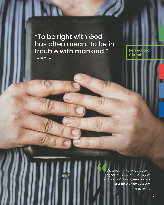### "To be right with God has often meant to be in trouble with mankind."

**– A. W. Tozer** 

**INTO** 

**66**<br>
of<br>
and *So with you: Now is your time of grief, but I will see you again and you will rejoice, and no one will take away your joy.* **JOHN 16:22 NIV**

**Persecuted Church**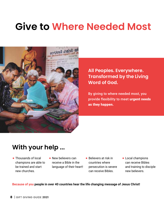### **Give to Where Needed Most**



**All Peoples. Everywhere. Transformed by the Living Word of God.**

By giving to where needed most, you provide flexibility to meet urgent needs as they happen.

### **With your help ...**

- Thousands of local champions are able to be trained and start new churches.
- New believers can receive a Bible in the language of their heart!
- Believers at risk in countries where persecution is severe can receive Bibles.
- Local champions can receive Bibles and training to disciple new believers.

**Because of you people in over 40 countries hear the life changing message of Jesus Christ!**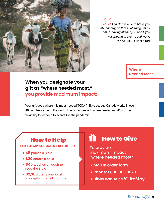

*And God is able to bless you abundantly, so that in all things at all times, having all that you need, you will abound in every good work.* **2 CORINTHIANS 9:8 NIV** 

> **Where Needed Most**

### **When you designate your gift as "where needed most," you provide maximum impact:**

Your gift goes where it is most needed TODAY! Bible League Canada works in over 40 countries around the world. Funds designated "where needed most" provide flexibility to respond to events like the pandemic.

### How to Help

**A GIFT OF ANY SIZE MAKES A DIFFERENCE!**

- **\$5** places a Bible
- **\$20** enrolls a child
- **\$45** teaches an adult to read the Bible
- **\$2,300** trains one local champion to start churches

### $H$  How to Give

To provide maximum impact "where needed most"

- **Mail in order form**
- **Phone: 1.800.363.9673**
- **[BibleLeague.ca/GiftofJoy](http://bibleleague.ca/giftofjoy)**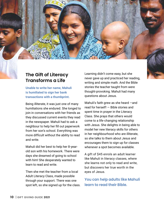### **The Gift of Literacy Transforms a Life**

**Unable to write her name, Mahuli is humiliated to sign her bank transactions with a thumbprint.**

Being illiterate, it was just one of many humiliations she endured. She longed to join in conversations with her friends as they discussed current events they read in the newspaper. Mahuli had to ask a neighbour to help her fill out paperwork from her son's school. Everything was more difficult without the ability to read and write.

Mahuli did her best to help her 8-yearold son with his homework. There were days she dreamed of going to school with him! She desperately wanted to learn to read and write.

Then she met the teacher from a local Adult Literacy Class, made possible through your support. There was one spot left, so she signed up for the class.

Learning didn't come easy, but she never gave up and practiced her reading, writing and simple math. And the Bible stories the teacher taught from were thought-provoking. Mahuli had many questions about Jesus.

Mahuli's faith grew as she heard —and read for herself! — Bible stories and spent time in prayer in the Literacy Class. She prays that others would come to a life-changing relationship with Jesus. She delights in being able to model her new literacy skills for others in her neighbourhood who are illiterate, so she talks to them about Jesus and encourages them to sign up for classes whenever a spot becomes available.

A gift of \$45 enrols an adult learner like Mahuli in literacy classes, where she learns not only to read and write, but discovers her true worth in the eyes of Jesus.

worth in<br>**ts like**<br>Bible. **You can help adults like Mahuli learn to read their Bible.**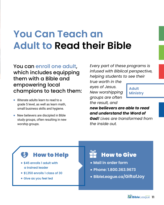### **You Can Teach an Adult to Read their Bible**

You can enroll one adult, which includes equipping them with a Bible and empowering local champions to teach them:

- **Illiterate adults learn to read to a**  grade 5 level, as well as learn math, small business skills and hygiene.
- New believers are discipled in Bible study groups, often resulting in new worship groups.

*Every part of these programs is infused with Biblical perspective, helping students to see their* 

*true worth in the eyes of Jesus. New worshipping groups are often the result, and* 

**Adult Ministry**

*new believers are able to read and understand the Word of God! Lives are transformed from* 

*the inside out.*

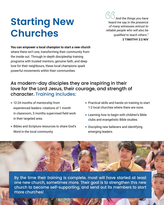### **Starting New Churches**

*And the things you have heard me say in the presence of many witnesses entrust to reliable people who will also be qualified to teach others."*

#### **2 TIMOTHY 2:2 NIV**

**You can empower a local champion to start a new church**  where there isn't one, transforming their community from the inside out. Through in-depth discipleship training programs with trusted mentors, genuine faith, and deep love for their neighbours, these local champions spark powerful movements within their communities.

### As modern-day disciples they are inspiring in their love for the Lord Jesus, their courage, and strength of character. Training includes:

- 12-24 months of mentorship from experienced leaders: rotations of 1 month in classroom, 3 months supervised field work in their targeted area.
- Bibles and Scripture resources to share God's Word in the local community.
- **Practical skills and hands-on training to start** 1-2 local churches where there are none.
- **Learning how to begin with children's Bible** clubs and evangelistic Bible studies.
- Discipling new believers and identifying emerging leaders.

By the time their training is complete, most will have started at least one new church, sometimes more. Their goal is to strengthen this new church to become self-supporting, and send out its members to start more churches!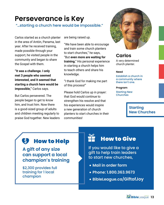### **Perseverance is Key**

"…starting a church here would be impossible."

Carlos started as a church planter in the area of Antón, Panama, last year. After he received training, made possible through your support, he visited people in the community and began to share the Gospel with them.

**"It was a challenge. I only met 3 people who seemed interested, and it seemed that starting a church here would be impossible,"** Carlos says.

But Carlos persevered. The people began to get to know him, and trust him. Now there is a good-sized group of adults and children meeting regularly to praise God together. New leaders are being raised up.

"We have been able to encourage and train some church planters to start churches," he says, "But **even more are waiting for training.**" His personal experience in starting a church helps him to teach others and share his knowledge.

"I thank God for making me part of this process!"

Please hold Carlos up in prayer: that God would continue to strengthen his resolve and that his experiences would inspire a new generation of church planters to start churches in their communities!



### **Carlos**

A very determined church planter.

#### **Need**

Establish a church in a community where there isn't one.

#### **Program**

Starting New Churches

### **Starting New Churches**

#### S How to Help

**A gift of any size can support a local champion's training**

\$2,300 provides full training for 1 local champion

### How to Give

If you would like to give a gift to help train leaders to start new churches,

- **Mail in order form**
- **Phone: 1.800.363.9673**
- **[BibleLeague.ca/GiftofJoy](http://bibleleague.ca/giftofjoy)**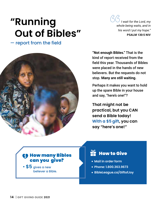### **"Running Out of Bibles"**

— report from the field



*I wait for the Lord, my whole being waits, and in his word I put my hope."*  **PSALM 130:5 NIV**

**"Not enough Bibles."** That is the kind of report received from the field this year. Thousands of Bibles were placed in the hands of new believers. But the requests do not stop. **Many are still waiting.**

Perhaps it makes you want to hold up the spare Bible in your house and say, "here's one!"?

**That might not be practical, but you CAN send a Bible today! With a \$5 gift, you can say "here's one!"**

### How many Bibles can you give?

 **\$5** gives a new believer a Bible.

### $H$  How to Give

- **Mail in order form**
- **Phone: 1.800.363.9673**
- **[BibleLeague.ca/GiftofJoy](http://bibleleague.ca/giftofjoy)**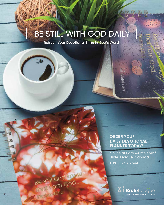### BE STILL WITH GOD DAILY

Refresh Your Devotional Time in God's Word

**ORDER YOUR DAILY DEVOTIONAL PLANNER TODAY!**

League

[Online at Parasource.com/](https://www.parasource.com/bible-league-canada) Bible-League-Canada

m Goo

1-800-263-2664

Be still and know **Traction 46:10** 

 $\overline{\phantom{a}}$ 

AM BibleLeague